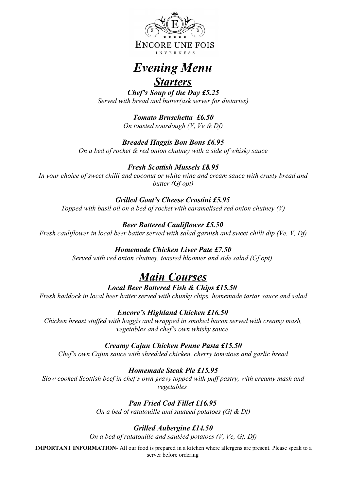

# *Evening Menu*

## *Starters*

*Chef's Soup of the Day £5.25 Served with bread and butter(ask server for dietaries)*

> *Tomato Bruschetta £6.50 On toasted sourdough (V, Ve & Df)*

# *Breaded Haggis Bon Bons £6.95*

*On a bed of rocket & red onion chutney with a side of whisky sauce*

## *Fresh Scottish Mussels £8.95*

*In your choice of sweet chilli and coconut or white wine and cream sauce with crusty bread and butter (Gf opt)*

### *Grilled Goat's Cheese Crostini £5.95*

*Topped with basil oil on a bed of rocket with caramelised red onion chutney (V)*

## *Beer Battered Cauliflower £5.50*

*Fresh cauliflower in local beer batter served with salad garnish and sweet chilli dip (Ve, V, Df)*

### *Homemade Chicken Liver Pate £7.50*

*Served with red onion chutney, toasted bloomer and side salad (Gf opt)* 

# *Main Courses*

## *Local Beer Battered Fish & Chips £15.50*

*Fresh haddock in local beer batter served with chunky chips, homemade tartar sauce and salad*

#### *Encore's Highland Chicken £16.50*

*Chicken breast stuffed with haggis and wrapped in smoked bacon served with creamy mash, vegetables and chef's own whisky sauce* 

#### *Creamy Cajun Chicken Penne Pasta £15.50*

*Chef's own Cajun sauce with shredded chicken, cherry tomatoes and garlic bread*

## *Homemade Steak Pie £15.95*

*Slow cooked Scottish beef in chef's own gravy topped with puff pastry, with creamy mash and vegetables* 

## *Pan Fried Cod Fillet £16.95*

*On a bed of ratatouille and sautéed potatoes (Gf & Df)*

## *Grilled Aubergine £14.50*

*On a bed of ratatouille and sautéed potatoes (V, Ve, Gf, Df)*

**IMPORTANT INFORMATION**- All our food is prepared in a kitchen where allergens are present. Please speak to a server before ordering